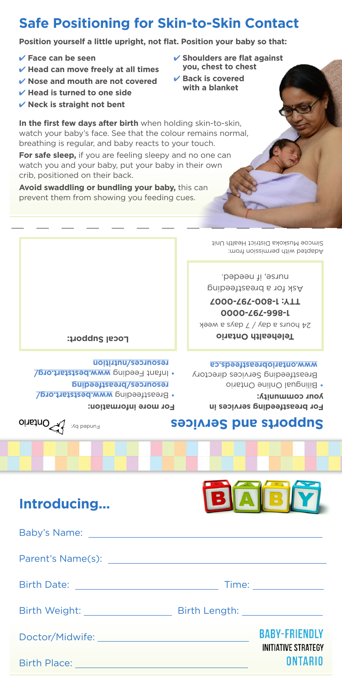|                                                                                                                                                                                                                               | Adapted with permission from:                                                                                                                   |  |  |  |  |
|-------------------------------------------------------------------------------------------------------------------------------------------------------------------------------------------------------------------------------|-------------------------------------------------------------------------------------------------------------------------------------------------|--|--|--|--|
|                                                                                                                                                                                                                               | pəbəəu ji ,əstun<br>por a breastfeeding                                                                                                         |  |  |  |  |
|                                                                                                                                                                                                                               | <b>Z000-Z6Z-008-L : ALL</b><br>0000-Z6Z-998-L                                                                                                   |  |  |  |  |
|                                                                                                                                                                                                                               | 24 hours a day / 7 days a week                                                                                                                  |  |  |  |  |
| Local Support:                                                                                                                                                                                                                | <b>Oinstro dilasdelaT</b>                                                                                                                       |  |  |  |  |
| resources/nutrition<br>. Infant Feeding www.beststart.org/<br>resonrces/preastfeeding<br>. Breastfeeding www.beststart.org/<br>For more information:                                                                          | sp. absolute a streeds.ca<br>Breastfeeding Services directory<br>• Bilingual Online Ontario<br>your community:<br>For breastfeeding services in |  |  |  |  |
| oinstno Wallow                                                                                                                                                                                                                | <b>Supports and Services</b>                                                                                                                    |  |  |  |  |
|                                                                                                                                                                                                                               |                                                                                                                                                 |  |  |  |  |
|                                                                                                                                                                                                                               |                                                                                                                                                 |  |  |  |  |
| Introducing                                                                                                                                                                                                                   | ABM<br>B                                                                                                                                        |  |  |  |  |
|                                                                                                                                                                                                                               |                                                                                                                                                 |  |  |  |  |
| Baby's Name: ______                                                                                                                                                                                                           |                                                                                                                                                 |  |  |  |  |
| Parent's Name(s): Name (s) and the set of the set of the set of the set of the set of the set of the set of the set of the set of the set of the set of the set of the set of the set of the set of the set of the set of the |                                                                                                                                                 |  |  |  |  |
| Birth Date: <u>___________________________</u>                                                                                                                                                                                |                                                                                                                                                 |  |  |  |  |
|                                                                                                                                                                                                                               |                                                                                                                                                 |  |  |  |  |
|                                                                                                                                                                                                                               | <b>BABY-FRIENDLY</b>                                                                                                                            |  |  |  |  |
| <b>Birth Place:</b>                                                                                                                                                                                                           | INITIATIVE STRATEGY<br>ONTARIO                                                                                                                  |  |  |  |  |

**For safe sleep,** if you are feeling sleepy and no one can watch you and your baby, put your baby in their own crib, positioned on their back.

**In the first few days after birth** when holding skin-to-skin, watch your baby's face. See that the colour remains normal, breathing is regular, and baby reacts to your touch.

**Avoid swaddling or bundling your baby,** this can prevent them from showing you feeding cues.

4 **Nose and mouth are not covered** 4 **Head is turned to one side** 4 **Neck is straight not bent**

4 **Head can move freely at all times**

4 **Face can be seen**

4 **Shoulders are flat against you, chest to chest**

Simcoe Muskoka District Health Unit

- 4 **Back is covered with a blanket**
- **Safe Positioning for Skin-to-Skin Contact**

**Position yourself a little upright, not flat. Position your baby so that:**